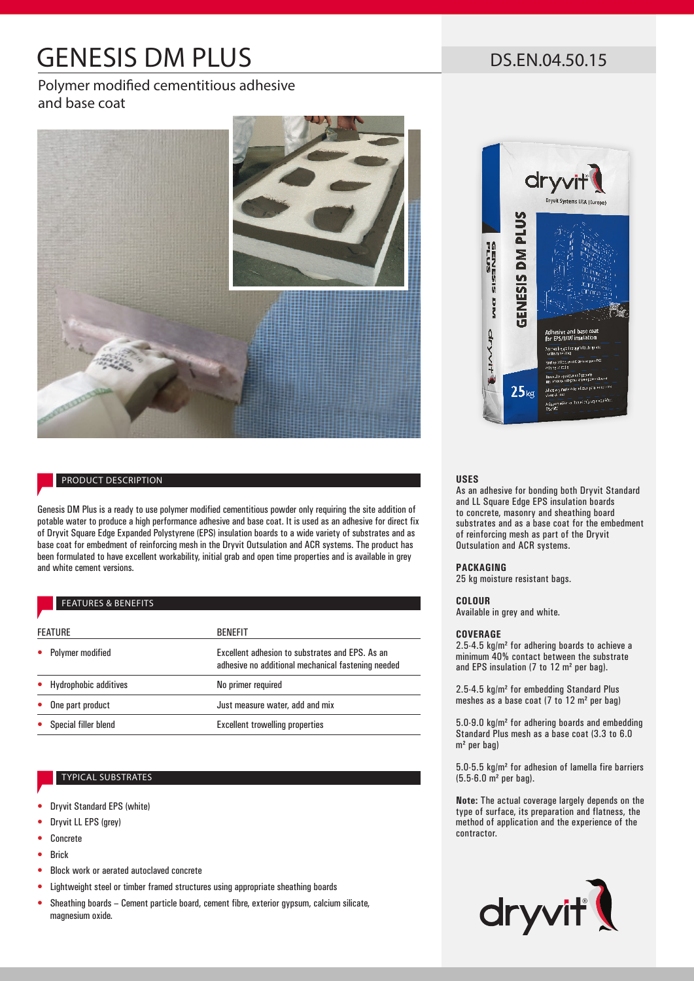# GENESIS DM PLUS

Polymer modified cementitious adhesive and base coat



# PRODUCT DESCRIPTION

Genesis DM Plus is a ready to use polymer modified cementitious powder only requiring the site addition of potable water to produce a high performance adhesive and base coat. It is used as an adhesive for direct fix of Dryvit Square Edge Expanded Polystyrene (EPS) insulation boards to a wide variety of substrates and as base coat for embedment of reinforcing mesh in the Dryvit Outsulation and ACR systems. The product has been formulated to have excellent workability, initial grab and open time properties and is available in grey and white cement versions.

# FEATURES & BENEFITS

| <b>FEATURE</b>          | <b>BENEFIT</b>                                                                                        |
|-------------------------|-------------------------------------------------------------------------------------------------------|
|                         |                                                                                                       |
| <b>Polymer modified</b> | Excellent adhesion to substrates and EPS. As an<br>adhesive no additional mechanical fastening needed |
| • Hydrophobic additives | No primer required                                                                                    |
| One part product        | Just measure water, add and mix                                                                       |
| Special filler blend    | Excellent trowelling properties                                                                       |

## TYPICAL SUBSTRATES

- Dryvit Standard EPS (white)
- Dryvit LL EPS (grey)
- Concrete
- Brick
- Block work or aerated autoclaved concrete
- Lightweight steel or timber framed structures using appropriate sheathing boards
- Sheathing boards Cement particle board, cement fibre, exterior gypsum, calcium silicate, magnesium oxide.

DS.EN.04.50.15



### **USES**

As an adhesive for bonding both Dryvit Standard and LL Square Edge EPS insulation boards to concrete, masonry and sheathing board substrates and as a base coat for the embedment of reinforcing mesh as part of the Dryvit Outsulation and ACR systems.

### **PACKAGING**

25 kg moisture resistant bags.

### **COLOUR**

Available in grey and white.

### **COVERAGE**

2.5-4.5 kg/m² for adhering boards to achieve a minimum 40% contact between the substrate and EPS insulation (7 to 12 m² per bag).

2.5-4.5 kg/m² for embedding Standard Plus meshes as a base coat (7 to 12 m² per bag)

5.0-9.0 kg/m² for adhering boards and embedding Standard Plus mesh as a base coat (3.3 to 6.0 m² per bag)

5.0-5.5 kg/m² for adhesion of lamella fire barriers (5.5-6.0 m² per bag).

**Note:** The actual coverage largely depends on the type of surface, its preparation and flatness, the method of application and the experience of the contractor.

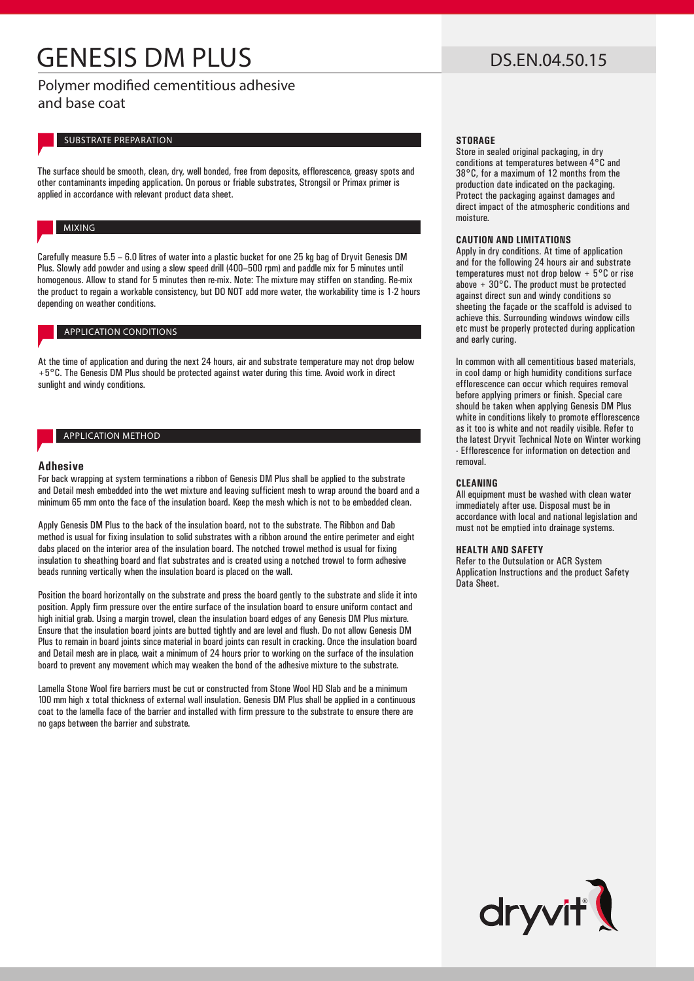# GENESIS DM PLUS

Polymer modified cementitious adhesive and base coat

## SUBSTRATE PREPARATION

The surface should be smooth, clean, dry, well bonded, free from deposits, efflorescence, greasy spots and other contaminants impeding application. On porous or friable substrates, Strongsil or Primax primer is applied in accordance with relevant product data sheet.

# MIXING

Carefully measure 5.5 – 6.0 litres of water into a plastic bucket for one 25 kg bag of Dryvit Genesis DM Plus. Slowly add powder and using a slow speed drill (400–500 rpm) and paddle mix for 5 minutes until homogenous. Allow to stand for 5 minutes then re-mix. Note: The mixture may stiffen on standing. Re-mix the product to regain a workable consistency, but DO NOT add more water, the workability time is 1-2 hours depending on weather conditions.

# APPLICATION CONDITIONS

At the time of application and during the next 24 hours, air and substrate temperature may not drop below +5°C. The Genesis DM Plus should be protected against water during this time. Avoid work in direct sunlight and windy conditions.

# APPLICATION METHOD

### **Adhesive**

For back wrapping at system terminations a ribbon of Genesis DM Plus shall be applied to the substrate and Detail mesh embedded into the wet mixture and leaving sufficient mesh to wrap around the board and a minimum 65 mm onto the face of the insulation board. Keep the mesh which is not to be embedded clean.

Apply Genesis DM Plus to the back of the insulation board, not to the substrate. The Ribbon and Dab method is usual for fixing insulation to solid substrates with a ribbon around the entire perimeter and eight dabs placed on the interior area of the insulation board. The notched trowel method is usual for fixing insulation to sheathing board and flat substrates and is created using a notched trowel to form adhesive beads running vertically when the insulation board is placed on the wall.

Position the board horizontally on the substrate and press the board gently to the substrate and slide it into position. Apply firm pressure over the entire surface of the insulation board to ensure uniform contact and high initial grab. Using a margin trowel, clean the insulation board edges of any Genesis DM Plus mixture. Ensure that the insulation board joints are butted tightly and are level and flush. Do not allow Genesis DM Plus to remain in board joints since material in board joints can result in cracking. Once the insulation board and Detail mesh are in place, wait a minimum of 24 hours prior to working on the surface of the insulation board to prevent any movement which may weaken the bond of the adhesive mixture to the substrate.

Lamella Stone Wool fire barriers must be cut or constructed from Stone Wool HD Slab and be a minimum 100 mm high x total thickness of external wall insulation. Genesis DM Plus shall be applied in a continuous coat to the lamella face of the barrier and installed with firm pressure to the substrate to ensure there are no gaps between the barrier and substrate.

# DS.EN.04.50.15

### **STORAGE**

Store in sealed original packaging, in dry conditions at temperatures between 4°C and 38°C, for a maximum of 12 months from the production date indicated on the packaging. Protect the packaging against damages and direct impact of the atmospheric conditions and moisture.

#### **CAUTION AND LIMITATIONS**

Apply in dry conditions. At time of application and for the following 24 hours air and substrate temperatures must not drop below  $+5^{\circ}$ C or rise above + 30°C. The product must be protected against direct sun and windy conditions so sheeting the façade or the scaffold is advised to achieve this. Surrounding windows window cills etc must be properly protected during application and early curing.

In common with all cementitious based materials, in cool damp or high humidity conditions surface efflorescence can occur which requires removal before applying primers or finish. Special care should be taken when applying Genesis DM Plus white in conditions likely to promote efflorescence as it too is white and not readily visible. Refer to the latest Dryvit Technical Note on Winter working - Efflorescence for information on detection and removal.

### **CLEANING**

All equipment must be washed with clean water immediately after use. Disposal must be in accordance with local and national legislation and must not be emptied into drainage systems.

### **HEALTH AND SAFETY**

Refer to the Outsulation or ACR System Application Instructions and the product Safety Data Sheet.